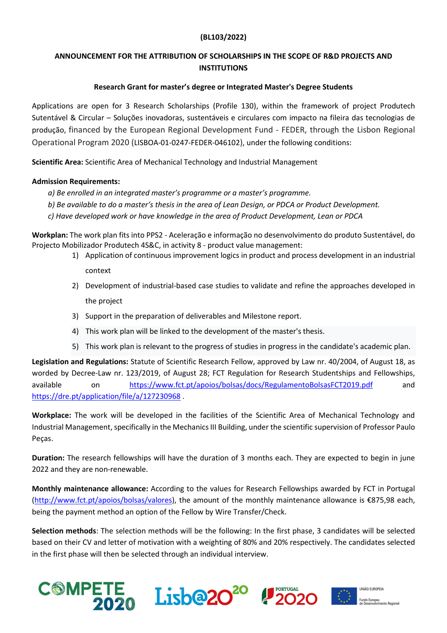## (BL103/2022)

## ANNOUNCEMENT FOR THE ATTRIBUTION OF SCHOLARSHIPS IN THE SCOPE OF R&D PROJECTS AND **INSTITUTIONS**

## Research Grant for master's degree or Integrated Master's Degree Students

Applications are open for 3 Research Scholarships (Profile 130), within the framework of project Produtech Sutentável & Circular – Soluções inovadoras, sustentáveis e circulares com impacto na fileira das tecnologias de produção, financed by the European Regional Development Fund - FEDER, through the Lisbon Regional Operational Program 2020 (LISBOA-01-0247-FEDER-046102), under the following conditions:

Scientific Area: Scientific Area of Mechanical Technology and Industrial Management

## Admission Requirements:

- a) Be enrolled in an integrated master's programme or a master's programme.
- b) Be available to do a master's thesis in the area of Lean Design, or PDCA or Product Development.
- c) Have developed work or have knowledge in the area of Product Development, Lean or PDCA

Workplan: The work plan fits into PPS2 - Aceleração e informação no desenvolvimento do produto Sustentável, do Projecto Mobilizador Produtech 4S&C, in activity 8 - product value management:

- 1) Application of continuous improvement logics in product and process development in an industrial context
- 2) Development of industrial-based case studies to validate and refine the approaches developed in the project
- 3) Support in the preparation of deliverables and Milestone report.
- 4) This work plan will be linked to the development of the master's thesis.
- 5) This work plan is relevant to the progress of studies in progress in the candidate's academic plan.

Legislation and Regulations: Statute of Scientific Research Fellow, approved by Law nr. 40/2004, of August 18, as worded by Decree-Law nr. 123/2019, of August 28; FCT Regulation for Research Studentships and Fellowships, available on https://www.fct.pt/apoios/bolsas/docs/RegulamentoBolsasFCT2019.pdf and https://dre.pt/application/file/a/127230968 .

Workplace: The work will be developed in the facilities of the Scientific Area of Mechanical Technology and Industrial Management, specifically in the Mechanics III Building, under the scientific supervision of Professor Paulo Peças.

Duration: The research fellowships will have the duration of 3 months each. They are expected to begin in june 2022 and they are non-renewable.

Monthly maintenance allowance: According to the values for Research Fellowships awarded by FCT in Portugal (http://www.fct.pt/apoios/bolsas/valores), the amount of the monthly maintenance allowance is €875,98 each, being the payment method an option of the Fellow by Wire Transfer/Check.

Selection methods: The selection methods will be the following: In the first phase, 3 candidates will be selected based on their CV and letter of motivation with a weighting of 80% and 20% respectively. The candidates selected in the first phase will then be selected through an individual interview.